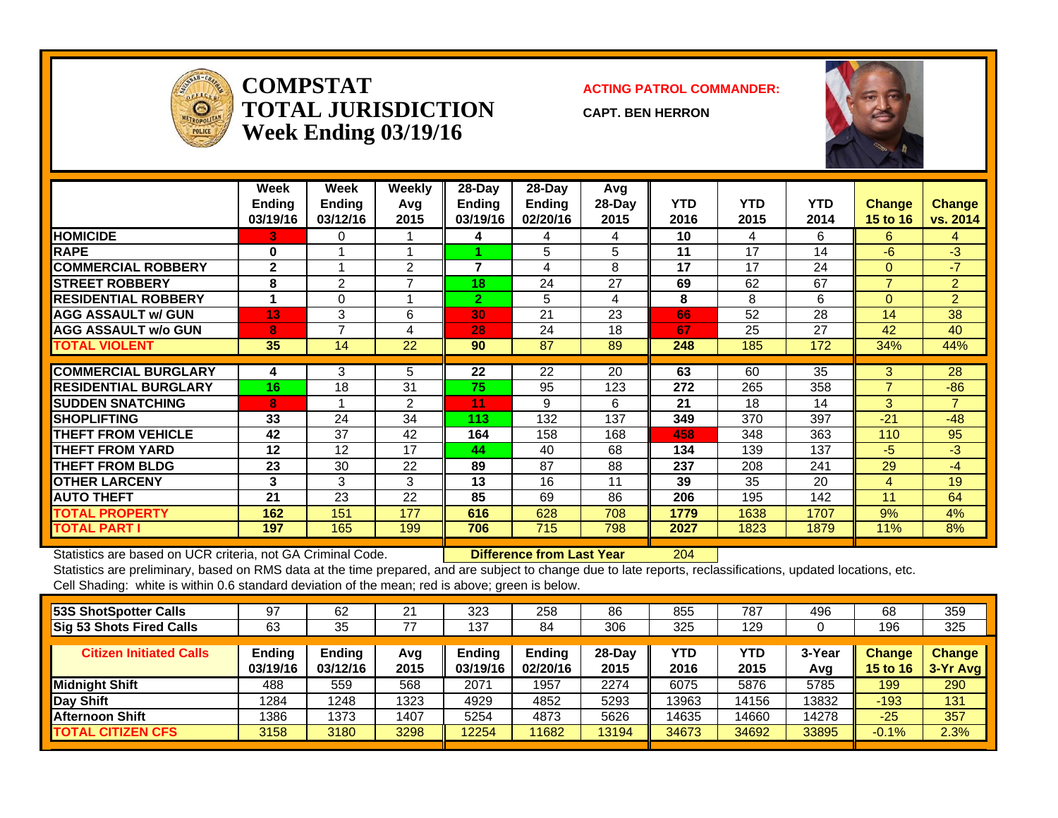

**COMPSTATTOTAL JURISDICTIONWeek Ending 03/19/16**

**ACTING PATROL COMMANDER:**

**CAPT. BEN HERRON**



|                             | Week<br><b>Ending</b><br>03/19/16 | Week<br><b>Ending</b><br>03/12/16 | Weekly<br>Avg<br>2015 | 28-Day<br><b>Ending</b><br>03/19/16 | $28-Day$<br>Ending<br>02/20/16 | Avg<br>$28-Day$<br>2015 | <b>YTD</b><br>2016 | <b>YTD</b><br>2015 | <b>YTD</b><br>2014 | <b>Change</b><br>15 to 16 | <b>Change</b><br>vs. 2014 |
|-----------------------------|-----------------------------------|-----------------------------------|-----------------------|-------------------------------------|--------------------------------|-------------------------|--------------------|--------------------|--------------------|---------------------------|---------------------------|
| <b>HOMICIDE</b>             | 3.                                | 0                                 |                       | 4                                   | 4                              | 4                       | 10                 | 4                  | 6                  | 6                         | 4                         |
| <b>RAPE</b>                 | 0                                 |                                   |                       |                                     | 5                              | 5                       | 11                 | 17                 | 14                 | -6                        | $-3$                      |
| <b>COMMERCIAL ROBBERY</b>   | $\mathbf{2}$                      |                                   | $\overline{2}$        | 7                                   | 4                              | 8                       | 17                 | 17                 | 24                 | $\Omega$                  | $-7$                      |
| <b>STREET ROBBERY</b>       | 8                                 | $\overline{2}$                    | $\overline{7}$        | 18                                  | 24                             | 27                      | 69                 | 62                 | 67                 | $\overline{ }$            | $\overline{2}$            |
| <b>RESIDENTIAL ROBBERY</b>  |                                   | 0                                 |                       | $\overline{2}$                      | 5                              | 4                       | 8                  | 8                  | 6                  | $\Omega$                  | $\overline{2}$            |
| <b>AGG ASSAULT w/ GUN</b>   | 13                                | 3                                 | 6                     | 30                                  | 21                             | 23                      | 66                 | 52                 | 28                 | 14                        | 38                        |
| <b>AGG ASSAULT w/o GUN</b>  | 8                                 | $\overline{ }$                    | 4                     | 28                                  | 24                             | 18                      | 67                 | 25                 | 27                 | 42                        | 40                        |
| <b>TOTAL VIOLENT</b>        | 35                                | 14                                | 22                    | 90                                  | 87                             | 89                      | 248                | 185                | 172                | 34%                       | 44%                       |
|                             |                                   |                                   |                       |                                     |                                |                         |                    |                    |                    |                           |                           |
| <b>COMMERCIAL BURGLARY</b>  | 4                                 | 3                                 | 5                     | 22                                  | 22                             | 20                      | 63                 | 60                 | 35                 | 3                         | 28                        |
| <b>RESIDENTIAL BURGLARY</b> | 16                                | 18                                | 31                    | 75                                  | 95                             | 123                     | 272                | 265                | 358                | $\overline{ }$            | $-86$                     |
| <b>SUDDEN SNATCHING</b>     | 8                                 |                                   | 2                     | 11                                  | 9                              | 6                       | 21                 | 18                 | 14                 | 3                         | $\overline{7}$            |
| <b>SHOPLIFTING</b>          | 33                                | 24                                | 34                    | 113                                 | 132                            | 137                     | 349                | 370                | 397                | $-21$                     | $-48$                     |
| THEFT FROM VEHICLE          | 42                                | 37                                | 42                    | 164                                 | 158                            | 168                     | 458                | 348                | 363                | 110                       | 95                        |
| <b>THEFT FROM YARD</b>      | 12                                | 12                                | 17                    | 44                                  | 40                             | 68                      | 134                | 139                | 137                | $-5$                      | $-3$                      |
| <b>THEFT FROM BLDG</b>      | 23                                | 30                                | 22                    | 89                                  | 87                             | 88                      | 237                | 208                | 241                | 29                        | -4                        |
| <b>OTHER LARCENY</b>        | 3                                 | 3                                 | 3                     | 13                                  | 16                             | 11                      | 39                 | 35                 | 20                 | 4                         | 19                        |
| <b>AUTO THEFT</b>           | 21                                | 23                                | 22                    | 85                                  | 69                             | 86                      | 206                | 195                | 142                | 11                        | 64                        |
| <b>TOTAL PROPERTY</b>       | 162                               | 151                               | 177                   | 616                                 | 628                            | 708                     | 1779               | 1638               | 1707               | 9%                        | 4%                        |
| TOTAL PART I                | 197                               | 165                               | 199                   | 706                                 | 715                            | 798                     | 2027               | 1823               | 1879               | 11%                       | 8%                        |

Statistics are based on UCR criteria, not GA Criminal Code. **Difference from Last Year** 204

| 53S ShotSpotter Calls           | 97                 | 62                 | 21          | 323                | 258                | 86               | 855         | 787         | 496           | 68                        | 359                         |
|---------------------------------|--------------------|--------------------|-------------|--------------------|--------------------|------------------|-------------|-------------|---------------|---------------------------|-----------------------------|
| <b>Sig 53 Shots Fired Calls</b> | 63                 | 35                 | 77          | 137                | 84                 | 306              | 325         | 129         |               | 196                       | 325                         |
| <b>Citizen Initiated Calls</b>  | Ending<br>03/19/16 | Ending<br>03/12/16 | Avg<br>2015 | Ending<br>03/19/16 | Ending<br>02/20/16 | $28-Day$<br>2015 | YTD<br>2016 | YTD<br>2015 | 3-Year<br>Avg | <b>Change</b><br>15 to 16 | <b>Change</b><br>$3-Yr$ Avg |
| Midnight Shift                  | 488                | 559                | 568         | 2071               | 1957               | 2274             | 6075        | 5876        | 5785          | 199                       | 290                         |
| Day Shift                       | 1284               | 1248               | 1323        | 4929               | 4852               | 5293             | 13963       | 14156       | 13832         | $-193$                    | 131                         |
| <b>Afternoon Shift</b>          | 1386               | 1373               | 1407        | 5254               | 4873               | 5626             | 14635       | 14660       | 14278         | $-25$                     | 357                         |
| <b>TOTAL CITIZEN CFS</b>        | 3158               | 3180               | 3298        | 12254              | 11682              | 13194            | 34673       | 34692       | 33895         | $-0.1%$                   | 2.3%                        |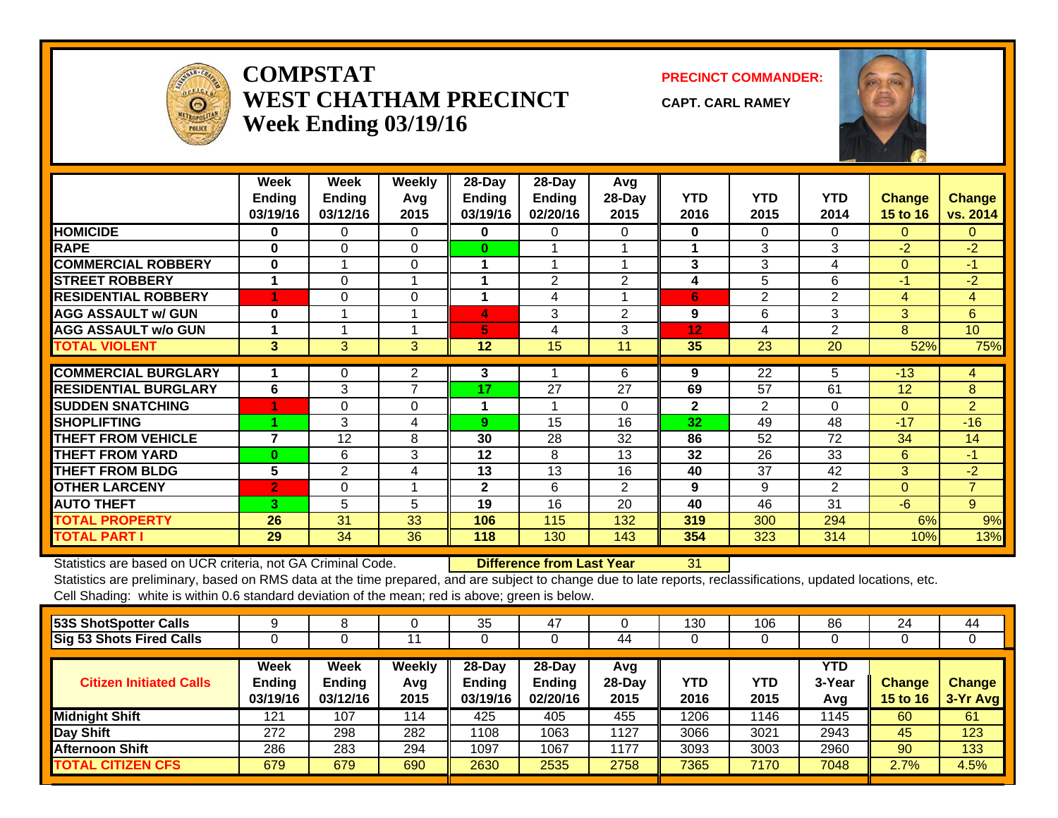

## **COMPSTATWEST CHATHAM PRECINCTWeek Ending 03/19/16**

**PRECINCT COMMANDER:**

**CAPT. CARL RAMEY**



|                             | Week<br>Ending<br>03/19/16 | Week<br><b>Ending</b><br>03/12/16 | Weekly<br>Avq<br>2015 | 28-Day<br><b>Ending</b><br>03/19/16 | 28-Day<br><b>Ending</b><br>02/20/16 | Avg<br>28-Day<br>2015 | <b>YTD</b><br>2016 | <b>YTD</b><br>2015 | <b>YTD</b><br>2014 | <b>Change</b><br><b>15 to 16</b> | <b>Change</b><br>vs. 2014 |
|-----------------------------|----------------------------|-----------------------------------|-----------------------|-------------------------------------|-------------------------------------|-----------------------|--------------------|--------------------|--------------------|----------------------------------|---------------------------|
| <b>HOMICIDE</b>             | $\bf{0}$                   | $\Omega$                          | $\Omega$              | $\bf{0}$                            | 0                                   | 0                     | 0                  | 0                  | 0                  | $\Omega$                         | $\Omega$                  |
| <b>RAPE</b>                 | $\bf{0}$                   | $\Omega$                          | $\Omega$              | $\bf{0}$                            |                                     |                       |                    | 3                  | 3                  | $-2$                             | $-2$                      |
| <b>COMMERCIAL ROBBERY</b>   | $\bf{0}$                   |                                   | $\Omega$              |                                     |                                     |                       | 3                  | 3                  | 4                  | $\Omega$                         | $-1$                      |
| <b>ISTREET ROBBERY</b>      |                            | $\Omega$                          |                       |                                     | 2                                   | 2                     | 4                  | 5                  | 6                  | $-1$                             | $-2$                      |
| <b>RESIDENTIAL ROBBERY</b>  | 4                          | $\Omega$                          | $\Omega$              | 1                                   | 4                                   | 4                     | 6                  | $\overline{2}$     | 2                  | 4                                | 4                         |
| <b>AGG ASSAULT w/ GUN</b>   | $\bf{0}$                   |                                   |                       | 4                                   | 3                                   | $\overline{2}$        | 9                  | 6                  | 3                  | 3                                | 6                         |
| <b>AGG ASSAULT w/o GUN</b>  |                            |                                   |                       | 5                                   | 4                                   | 3                     | 12                 | 4                  | 2                  | 8                                | 10                        |
| <b>TOTAL VIOLENT</b>        | 3                          | 3                                 | 3                     | 12                                  | 15                                  | 11                    | 35                 | 23                 | 20                 | 52%                              | 75%                       |
|                             |                            |                                   |                       |                                     |                                     |                       |                    |                    |                    |                                  |                           |
| <b>COMMERCIAL BURGLARY</b>  |                            | 0                                 | 2                     | 3                                   |                                     | 6                     | 9                  | 22                 | 5                  | $-13$                            | 4                         |
| <b>RESIDENTIAL BURGLARY</b> | 6                          | 3                                 | $\overline{7}$        | 17                                  | 27                                  | 27                    | 69                 | 57                 | 61                 | 12                               | 8                         |
| <b>SUDDEN SNATCHING</b>     |                            | $\Omega$                          | $\Omega$              | 1                                   |                                     | $\Omega$              | $\mathbf{2}$       | $\overline{2}$     | $\Omega$           | $\Omega$                         | $\overline{2}$            |
| <b>SHOPLIFTING</b>          | 4                          | 3                                 | 4                     | 9                                   | 15                                  | 16                    | 32                 | 49                 | 48                 | $-17$                            | $-16$                     |
| <b>THEFT FROM VEHICLE</b>   | $\overline{7}$             | 12                                | 8                     | 30                                  | 28                                  | 32                    | 86                 | 52                 | 72                 | 34                               | 14                        |
| <b>THEFT FROM YARD</b>      | $\mathbf{0}$               | 6                                 | 3                     | 12                                  | 8                                   | 13                    | 32                 | 26                 | 33                 | 6                                | $-1$                      |
| <b>THEFT FROM BLDG</b>      | $\overline{5}$             | $\overline{2}$                    | 4                     | 13                                  | 13                                  | 16                    | 40                 | 37                 | 42                 | 3                                | $-2$                      |
| <b>OTHER LARCENY</b>        | $\overline{2}$             | $\mathbf 0$                       |                       | $\mathbf 2$                         | 6                                   | 2                     | 9                  | 9                  | $\overline{2}$     | $\Omega$                         | $\overline{7}$            |
| <b>AUTO THEFT</b>           | 3.                         | 5                                 | 5                     | 19                                  | 16                                  | 20                    | 40                 | 46                 | 31                 | $-6$                             | 9                         |
| <b>TOTAL PROPERTY</b>       | 26                         | 31                                | 33                    | 106                                 | 115                                 | 132                   | 319                | 300                | 294                | 6%                               | 9%                        |
| <b>TOTAL PART I</b>         | 29                         | 34                                | 36                    | 118                                 | 130                                 | 143                   | 354                | 323                | 314                | 10%                              | 13%                       |

Statistics are based on UCR criteria, not GA Criminal Code. **Difference from Last Year** 31

| 53S ShotSpotter Calls           | 9                                 |                            |                              | 35                                  | 47                                    |                         | 130         | 106         | 86                   | 24                               | 44                        |
|---------------------------------|-----------------------------------|----------------------------|------------------------------|-------------------------------------|---------------------------------------|-------------------------|-------------|-------------|----------------------|----------------------------------|---------------------------|
| <b>Sig 53 Shots Fired Calls</b> |                                   |                            |                              |                                     |                                       | 44                      |             |             |                      | U                                |                           |
| <b>Citizen Initiated Calls</b>  | Week<br><b>Ending</b><br>03/19/16 | Week<br>Ending<br>03/12/16 | <b>Weekly</b><br>Avg<br>2015 | 28-Day<br><b>Ending</b><br>03/19/16 | $28-Dav$<br><b>Ending</b><br>02/20/16 | Avg<br>$28-Day$<br>2015 | YTD<br>2016 | YTD<br>2015 | YTD<br>3-Year<br>Avg | <b>Change</b><br><b>15 to 16</b> | <b>Change</b><br>3-Yr Avg |
| <b>Midnight Shift</b>           | 121                               | 107                        | 114                          | 425                                 | 405                                   | 455                     | 1206        | 1146        | 1145                 | 60                               | 61                        |
| Day Shift                       | 272                               | 298                        | 282                          | 1108                                | 1063                                  | 1127                    | 3066        | 3021        | 2943                 | 45                               | 123                       |
| <b>Afternoon Shift</b>          | 286                               | 283                        | 294                          | 1097                                | 1067                                  | 1177                    | 3093        | 3003        | 2960                 | 90                               | 133                       |
| <b>TOTAL CITIZEN CFS</b>        | 679                               | 679                        | 690                          | 2630                                | 2535                                  | 2758                    | 7365        | 7170        | 7048                 | 2.7%                             | 4.5%                      |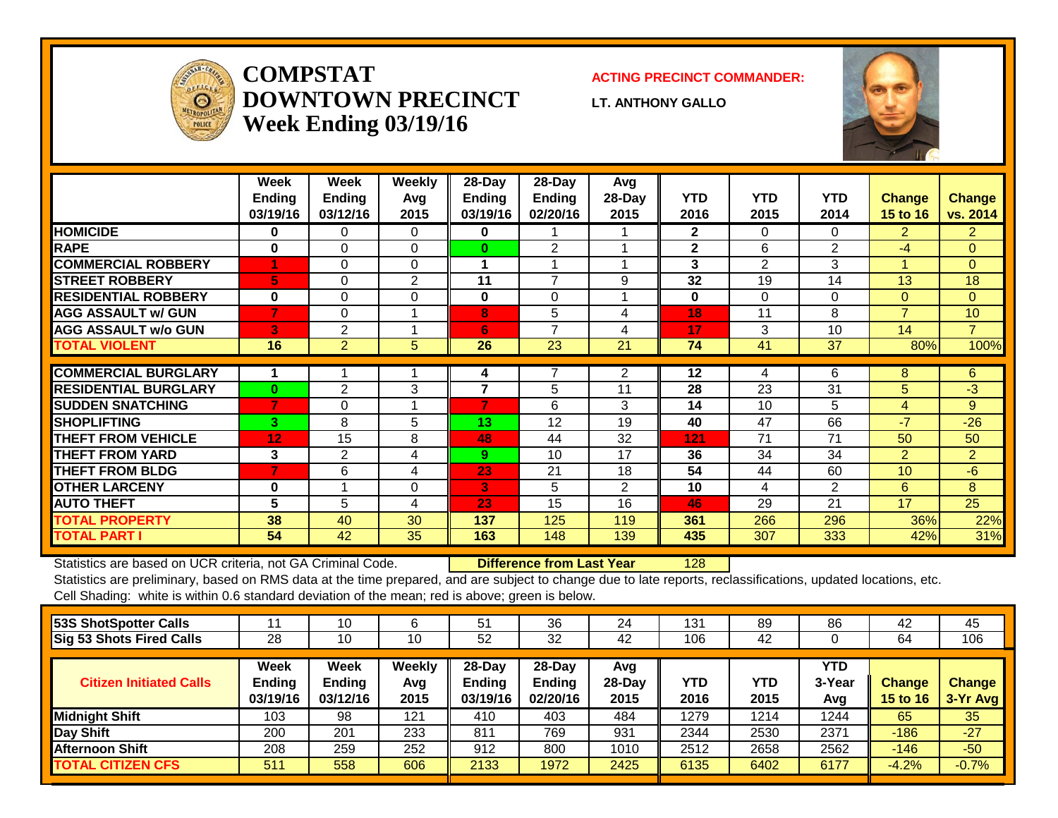

## **COMPSTATDOWNTOWN PRECINCTWeek Ending 03/19/16**

#### **ACTING PRECINCT COMMANDER:**

**LT. ANTHONY GALLO**



|                             | Week<br>Ending<br>03/19/16 | Week<br><b>Ending</b><br>03/12/16 | Weekly<br>Avg<br>2015 | $28$ -Day<br><b>Ending</b><br>03/19/16 | $28$ -Day<br><b>Ending</b><br>02/20/16 | Avg<br>28-Day<br>2015 | <b>YTD</b><br>2016 | <b>YTD</b><br>2015 | <b>YTD</b><br>2014 | <b>Change</b><br>15 to 16 | <b>Change</b><br>vs. 2014 |
|-----------------------------|----------------------------|-----------------------------------|-----------------------|----------------------------------------|----------------------------------------|-----------------------|--------------------|--------------------|--------------------|---------------------------|---------------------------|
| <b>HOMICIDE</b>             | 0                          | 0                                 | $\Omega$              | 0                                      |                                        |                       | $\mathbf{2}$       | $\Omega$           | 0                  | $\overline{2}$            | $\overline{2}$            |
| <b>RAPE</b>                 | $\bf{0}$                   | $\Omega$                          | $\Omega$              | $\bf{0}$                               | $\overline{2}$                         |                       | $\mathbf{2}$       | 6                  | $\overline{2}$     | $-4$                      | $\Omega$                  |
| <b>COMMERCIAL ROBBERY</b>   | -1                         | $\Omega$                          | $\Omega$              | 1                                      |                                        |                       | 3                  | $\overline{2}$     | 3                  |                           | $\mathbf{0}$              |
| <b>STREET ROBBERY</b>       | 5                          | $\Omega$                          | $\overline{2}$        | 11                                     | $\overline{7}$                         | 9                     | 32                 | 19                 | 14                 | 13                        | 18                        |
| <b>RESIDENTIAL ROBBERY</b>  | $\bf{0}$                   | $\Omega$                          | $\Omega$              | 0                                      | 0                                      | 4                     | $\bf{0}$           | 0                  | $\Omega$           | $\overline{0}$            | $\mathbf{0}$              |
| <b>AGG ASSAULT w/ GUN</b>   | 7                          | $\Omega$                          | 1                     | 8                                      | 5                                      | 4                     | 18                 | 11                 | 8                  | $\overline{7}$            | 10                        |
| <b>AGG ASSAULT w/o GUN</b>  | 3                          | $\overline{2}$                    | 1                     | 6                                      | $\overline{7}$                         | 4                     | 17                 | 3                  | 10                 | 14                        | $\overline{7}$            |
| <b>TOTAL VIOLENT</b>        | 16                         | $\overline{2}$                    | 5                     | 26                                     | 23                                     | 21                    | 74                 | 41                 | 37                 | 80%                       | 100%                      |
| <b>COMMERCIAL BURGLARY</b>  | 1                          |                                   | 1                     | 4                                      | 7                                      | $\overline{2}$        | $12 \,$            | 4                  | 6                  | 8                         | 6                         |
| <b>RESIDENTIAL BURGLARY</b> | $\bf{0}$                   | 2                                 | 3                     | $\overline{7}$                         | 5                                      | 11                    | 28                 | 23                 | 31                 | 5                         | $-3$                      |
| <b>ISUDDEN SNATCHING</b>    | $\overline{7}$             | $\Omega$                          | 1                     | 7                                      | 6                                      | 3                     | 14                 | 10                 | 5                  | 4                         | 9                         |
| <b>ISHOPLIFTING</b>         | 3                          | 8                                 | 5                     | 13                                     | 12                                     | 19                    | 40                 | 47                 | 66                 | $-7$                      | $-26$                     |
| <b>THEFT FROM VEHICLE</b>   | 12 <sub>2</sub>            | 15                                | 8                     | 48                                     | 44                                     | 32                    | 121                | 71                 | 71                 | 50                        | 50                        |
| <b>THEFT FROM YARD</b>      | 3                          | $\overline{2}$                    | 4                     | 9                                      | 10                                     | 17                    | 36                 | 34                 | 34                 | $\overline{2}$            | $\overline{2}$            |
| <b>THEFT FROM BLDG</b>      | $\overline{7}$             | 6                                 | 4                     | 23                                     | 21                                     | 18                    | 54                 | 44                 | 60                 | 10                        | $-6$                      |
| <b>OTHER LARCENY</b>        | $\bf{0}$                   | $\overline{ }$                    | $\mathbf 0$           | 3                                      | 5                                      | $\overline{2}$        | 10                 | 4                  | 2                  | 6                         | 8                         |
| <b>AUTO THEFT</b>           | 5                          | 5                                 | 4                     | 23                                     | 15                                     | 16                    | 46                 | 29                 | 21                 | 17                        | 25                        |
| <b>TOTAL PROPERTY</b>       | 38                         | 40                                | 30                    | 137                                    | 125                                    | 119                   | 361                | 266                | 296                | 36%                       | 22%                       |
| <b>TOTAL PART I</b>         | 54                         | 42                                | 35                    | 163                                    | 148                                    | 139                   | 435                | 307                | 333                | 42%                       | 31%                       |

Statistics are based on UCR criteria, not GA Criminal Code. **Difference from Last Year** 128

|                            | 10                                       | 6                     | 51                              | 36                                     | 24                      | 131                | 89          | 86                   | 42                               | 45                        |
|----------------------------|------------------------------------------|-----------------------|---------------------------------|----------------------------------------|-------------------------|--------------------|-------------|----------------------|----------------------------------|---------------------------|
| 28                         | 10                                       | 10                    | 52                              | 32                                     | 42                      | 106                | 42          |                      | 64                               | 106                       |
| Week<br>Ending<br>03/19/16 | <b>Week</b><br><b>Ending</b><br>03/12/16 | Weekly<br>Avg<br>2015 | $28$ -Day<br>Endina<br>03/19/16 | $28$ -Day<br><b>Ending</b><br>02/20/16 | Avg<br>$28-Day$<br>2015 | <b>YTD</b><br>2016 | YTD<br>2015 | YTD<br>3-Year<br>Avg | <b>Change</b><br><b>15 to 16</b> | <b>Change</b><br>3-Yr Avg |
| 103                        | 98                                       | 121                   | 410                             | 403                                    | 484                     | 1279               | 1214        | 1244                 | 65                               | 35                        |
| 200                        | 201                                      | 233                   | 811                             | 769                                    | 931                     | 2344               | 2530        | 2371                 | $-186$                           | $-27$                     |
| 208                        | 259                                      | 252                   | 912                             | 800                                    | 1010                    | 2512               | 2658        | 2562                 | $-146$                           | $-50$                     |
| 511                        | 558                                      | 606                   | 2133                            | 1972                                   | 2425                    | 6135               | 6402        | 6177                 | $-4.2%$                          | $-0.7%$                   |
|                            |                                          |                       |                                 |                                        |                         |                    |             |                      |                                  |                           |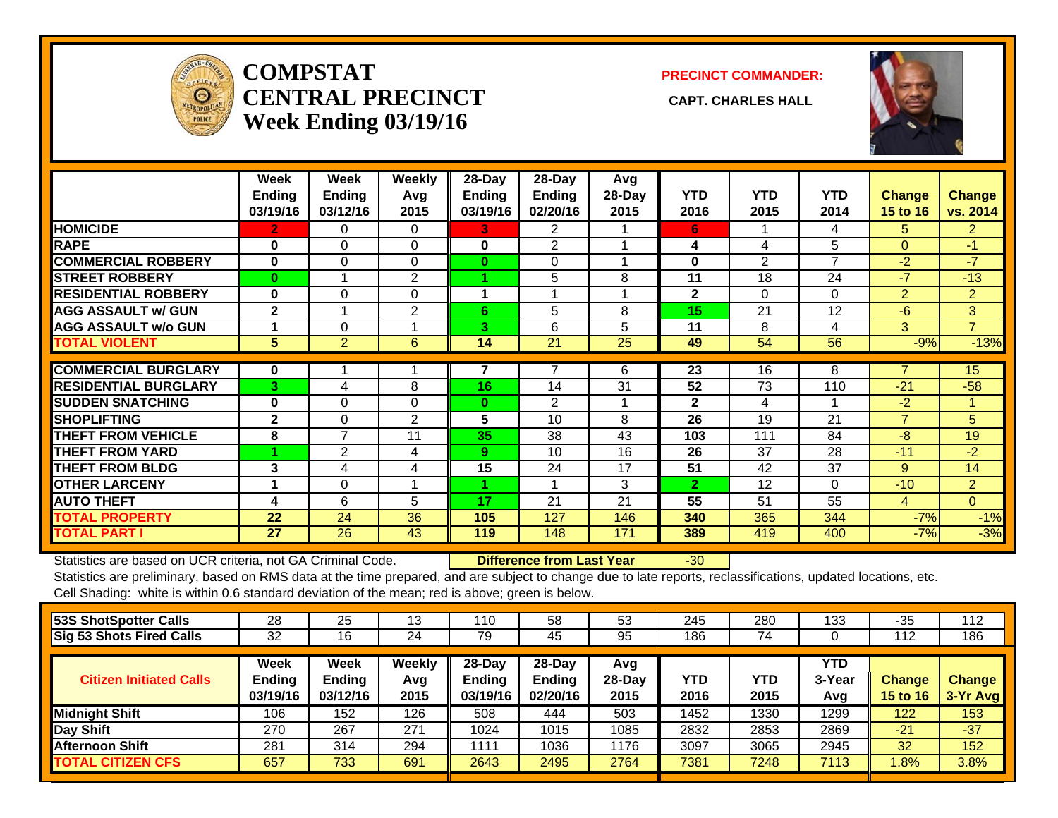

## **COMPSTATCENTRAL PRECINCT** CAPT. CHARLES HALL **Week Ending 03/19/16**

**PRECINCT COMMANDER:**



|                             | Week<br><b>Ending</b><br>03/19/16 | Week<br><b>Ending</b><br>03/12/16 | Weekly<br>Avg<br>2015 | $28$ -Day<br>Ending<br>03/19/16 | $28$ -Day<br><b>Ending</b><br>02/20/16 | Avg<br>28-Day<br>2015 | <b>YTD</b><br>2016 | <b>YTD</b><br>2015 | <b>YTD</b><br>2014 | Change<br>15 to 16       | <b>Change</b><br>vs. 2014 |
|-----------------------------|-----------------------------------|-----------------------------------|-----------------------|---------------------------------|----------------------------------------|-----------------------|--------------------|--------------------|--------------------|--------------------------|---------------------------|
| <b>HOMICIDE</b>             | 2                                 | 0                                 | 0                     | 3                               | 2                                      |                       | 6                  |                    | 4                  | 5.                       | $\overline{2}$            |
| <b>RAPE</b>                 | $\bf{0}$                          | $\Omega$                          | 0                     | $\bf{0}$                        | $\overline{2}$                         |                       | 4                  | 4                  | 5                  | $\Omega$                 | $-1$                      |
| <b>COMMERCIAL ROBBERY</b>   | $\bf{0}$                          | $\Omega$                          | $\Omega$              | $\bf{0}$                        | 0                                      | 4                     | $\bf{0}$           | 2                  | 7                  | $-2$                     | $-7$                      |
| <b>STREET ROBBERY</b>       | $\bf{0}$                          | $\overline{A}$                    | $\overline{2}$        |                                 | 5                                      | 8                     | 11                 | 18                 | 24                 | $-7$                     | $-13$                     |
| <b>RESIDENTIAL ROBBERY</b>  | $\bf{0}$                          | $\Omega$                          | $\Omega$              | 1                               |                                        |                       | $\mathbf{2}$       | 0                  | $\Omega$           | $\overline{2}$           | $\overline{2}$            |
| <b>AGG ASSAULT w/ GUN</b>   | $\mathbf{2}$                      |                                   | 2                     | 6                               | 5                                      | 8                     | 15                 | 21                 | 12                 | -6                       | 3                         |
| <b>AGG ASSAULT w/o GUN</b>  |                                   | $\Omega$                          |                       | 3.                              | 6                                      | 5                     | 11                 | 8                  | 4                  | $\overline{3}$           | $\overline{7}$            |
| <b>TOTAL VIOLENT</b>        | 5 <sup>5</sup>                    | 2                                 | 6                     | 14                              | 21                                     | 25                    | 49                 | 54                 | 56                 | $-9%$                    | $-13%$                    |
|                             |                                   |                                   |                       |                                 |                                        |                       |                    |                    |                    |                          |                           |
| <b>COMMERCIAL BURGLARY</b>  | $\mathbf 0$                       |                                   |                       |                                 | 7                                      | 6                     | 23                 | 16                 | 8                  | ⇁                        | 15                        |
| <b>RESIDENTIAL BURGLARY</b> | 3                                 | 4                                 | 8                     | 16                              | 14                                     | 31                    | 52                 | 73                 | 110                | $-21$                    | $-58$                     |
| <b>SUDDEN SNATCHING</b>     | 0                                 | $\Omega$                          | $\Omega$              | $\bf{0}$                        | $\overline{2}$                         |                       | $\mathbf{2}$       | 4                  |                    | $-2$                     | 1                         |
| <b>SHOPLIFTING</b>          | $\mathbf{2}$                      | $\Omega$                          | $\overline{2}$        | 5                               | 10                                     | 8                     | 26                 | 19                 | 21                 | $\overline{\phantom{a}}$ | 5                         |
| <b>THEFT FROM VEHICLE</b>   | 8                                 | 7                                 | 11                    | 35                              | 38                                     | 43                    | 103                | 111                | 84                 | -8                       | 19                        |
| <b>THEFT FROM YARD</b>      |                                   | 2                                 | 4                     | 9                               | 10                                     | 16                    | 26                 | 37                 | 28                 | $-11$                    | $-2$                      |
| <b>THEFT FROM BLDG</b>      | 3                                 | 4                                 | 4                     | 15                              | 24                                     | 17                    | 51                 | 42                 | 37                 | 9                        | 14                        |
| <b>OTHER LARCENY</b>        | 1                                 | $\Omega$                          |                       |                                 | 1                                      | 3                     | $\overline{2}$     | 12                 | $\Omega$           | $-10$                    | $\overline{2}$            |
| <b>AUTO THEFT</b>           | 4                                 | 6                                 | 5                     | 17                              | 21                                     | 21                    | 55                 | 51                 | 55                 | 4                        | $\overline{0}$            |
| <b>TOTAL PROPERTY</b>       | 22                                | 24                                | 36                    | 105                             | 127                                    | 146                   | 340                | 365                | 344                | $-7%$                    | $-1%$                     |
| <b>TOTAL PART I</b>         | 27                                | 26                                | 43                    | 119                             | 148                                    | 171                   | 389                | 419                | 400                | $-7%$                    | $-3%$                     |

Statistics are based on UCR criteria, not GA Criminal Code. **Difference from Last Year** -30

| 28                                | 25                                       | 13                           | 110                                 | 58                                  | 53                      | 245         | 280         | 133                  | $-35$                            | 112                       |
|-----------------------------------|------------------------------------------|------------------------------|-------------------------------------|-------------------------------------|-------------------------|-------------|-------------|----------------------|----------------------------------|---------------------------|
| 32                                | 16                                       | 24                           | 79                                  | 45                                  | 95                      | 186         | 74          |                      | 112                              | 186                       |
| <b>Week</b><br>Ending<br>03/19/16 | <b>Week</b><br><b>Ending</b><br>03/12/16 | <b>Weekly</b><br>Avg<br>2015 | 28-Day<br><b>Endina</b><br>03/19/16 | 28-Day<br><b>Ending</b><br>02/20/16 | Avg<br>$28-Day$<br>2015 | YTD<br>2016 | YTD<br>2015 | YTD<br>3-Year<br>Avg | <b>Change</b><br><b>15 to 16</b> | <b>Change</b><br>3-Yr Avg |
| 106                               | 152                                      | 126                          | 508                                 | 444                                 | 503                     | 1452        | 1330        | 1299                 | 122                              | 153                       |
| 270                               | 267                                      | 271                          | 1024                                | 1015                                | 1085                    | 2832        | 2853        | 2869                 | $-21$                            | $-37$                     |
| 281                               | 314                                      | 294                          | 1111                                | 1036                                | 1176                    | 3097        | 3065        | 2945                 | 32                               | 152                       |
| 657                               | 733                                      | 691                          | 2643                                | 2495                                | 2764                    | 7381        | 7248        | 7113                 | $.8\%$                           | 3.8%                      |
|                                   |                                          |                              |                                     |                                     |                         |             |             |                      |                                  |                           |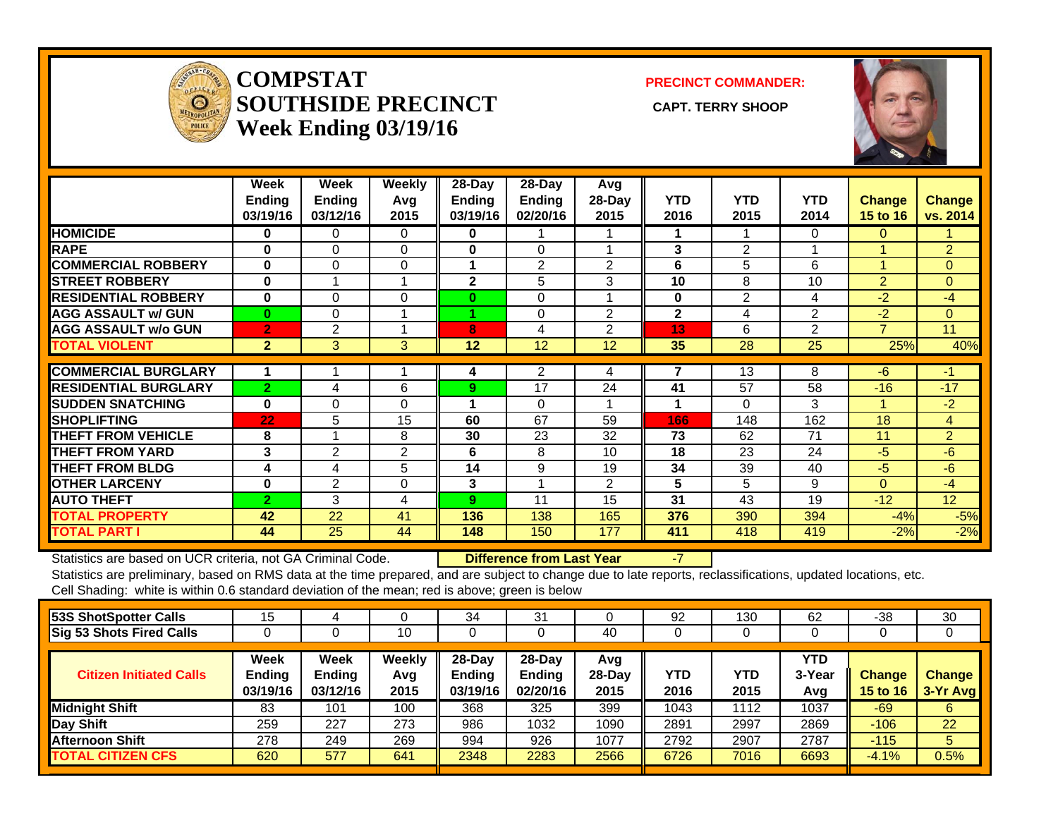

#### **COMPSTATSOUTHSIDE PRECINCT** CAPT. TERRY SHOOP **Week Ending 03/19/16**

**PRECINCT COMMANDER:**



|                             | Week<br><b>Ending</b><br>03/19/16 | Week<br><b>Ending</b><br>03/12/16 | Weekly<br>Avg<br>2015 | $28$ -Day<br>Ending<br>03/19/16 | $28-Day$<br><b>Ending</b><br>02/20/16 | Avg<br>28-Day<br>2015 | <b>YTD</b><br>2016 | <b>YTD</b><br>2015 | <b>YTD</b><br>2014 | <b>Change</b><br>15 to 16 | <b>Change</b><br>vs. 2014 |
|-----------------------------|-----------------------------------|-----------------------------------|-----------------------|---------------------------------|---------------------------------------|-----------------------|--------------------|--------------------|--------------------|---------------------------|---------------------------|
| <b>HOMICIDE</b>             | 0                                 | 0                                 | $\Omega$              | 0                               |                                       |                       |                    |                    | $\Omega$           | 0                         |                           |
| <b>RAPE</b>                 | $\bf{0}$                          | 0                                 | 0                     | 0                               | 0                                     |                       | 3                  | $\overline{2}$     |                    |                           | $\overline{2}$            |
| <b>COMMERCIAL ROBBERY</b>   | $\bf{0}$                          | 0                                 | 0                     | 1                               | $\overline{2}$                        | $\overline{2}$        | 6                  | 5                  | 6                  | и                         | $\Omega$                  |
| <b>ISTREET ROBBERY</b>      | $\bf{0}$                          |                                   | 1                     | $\mathbf 2$                     | 5                                     | 3                     | 10                 | 8                  | 10                 | $\overline{2}$            | $\Omega$                  |
| <b>RESIDENTIAL ROBBERY</b>  | $\bf{0}$                          | $\Omega$                          | 0                     | $\bf{0}$                        | $\Omega$                              |                       | $\bf{0}$           | 2                  | $\overline{4}$     | $-2$                      | $-4$                      |
| <b>AGG ASSAULT w/ GUN</b>   | $\bf{0}$                          | 0                                 | 1                     |                                 | 0                                     | 2                     | $\mathbf{2}$       | 4                  | 2                  | $-2$                      | $\mathbf{0}$              |
| <b>AGG ASSAULT w/o GUN</b>  | $\overline{2}$                    | 2                                 |                       | 8                               | 4                                     | $\overline{2}$        | 13                 | 6                  | $\overline{2}$     | $\overline{\phantom{a}}$  | 11                        |
| <b>TOTAL VIOLENT</b>        | $\overline{2}$                    | 3                                 | 3                     | $12 \overline{ }$               | 12                                    | 12                    | 35                 | 28                 | 25                 | 25%                       | 40%                       |
| <b>COMMERCIAL BURGLARY</b>  |                                   |                                   |                       | 4                               | 2                                     | 4                     | 7                  | 13                 | 8                  | $-6$                      | -1                        |
| <b>RESIDENTIAL BURGLARY</b> | $\overline{2}$                    | 4                                 | 6                     | 9                               | 17                                    | 24                    | 41                 | 57                 | 58                 | $-16$                     | $-17$                     |
| <b>ISUDDEN SNATCHING</b>    | $\bf{0}$                          | $\Omega$                          | 0                     | 1                               | $\Omega$                              |                       | 1                  | 0                  | 3                  |                           | $-2$                      |
| <b>ISHOPLIFTING</b>         | 22                                | 5                                 | 15                    | 60                              | 67                                    | 59                    | 166                | 148                | 162                | 18                        | $\overline{4}$            |
| <b>THEFT FROM VEHICLE</b>   | 8                                 |                                   | 8                     | 30                              | 23                                    | 32                    | 73                 | 62                 | 71                 | 11                        | $\overline{2}$            |
| <b>THEFT FROM YARD</b>      | 3                                 | 2                                 | 2                     | 6                               | 8                                     | 10 <sup>1</sup>       | 18                 | 23                 | 24                 | -5                        | $-6$                      |
| <b>THEFT FROM BLDG</b>      | 4                                 | 4                                 | 5                     | 14                              | 9                                     | 19                    | 34                 | 39                 | 40                 | $-5$                      | $-6$                      |
| <b>OTHER LARCENY</b>        | $\bf{0}$                          | 2                                 | 0                     | 3                               | 4                                     | $\overline{2}$        | 5                  | 5                  | 9                  | $\Omega$                  | $-4$                      |
| <b>AUTO THEFT</b>           | $\overline{2}$                    | 3                                 | 4                     | 9                               | 11                                    | 15                    | 31                 | 43                 | 19                 | $-12$                     | 12 <sup>2</sup>           |
| <b>TOTAL PROPERTY</b>       | 42                                | 22                                | 41                    | 136                             | 138                                   | 165                   | 376                | 390                | 394                | $-4%$                     | $-5%$                     |
| <b>TOTAL PART I</b>         | 44                                | 25                                | 44                    | 148                             | 150                                   | 177                   | 411                | 418                | 419                | $-2%$                     | $-2%$                     |

Statistics are based on UCR criteria, not GA Criminal Code. **Difference from Last Year** -7

| 53S ShotSpotter Calls          | 15                         |                                          |                       | 34                               | 31                                     |                         | 92          | 130         | 62                   | $-38$                     | 30                        |
|--------------------------------|----------------------------|------------------------------------------|-----------------------|----------------------------------|----------------------------------------|-------------------------|-------------|-------------|----------------------|---------------------------|---------------------------|
| Sig 53 Shots Fired Calls       |                            |                                          | 10                    |                                  |                                        | 40                      | 0           | J           |                      | ◡                         | 0                         |
| <b>Citizen Initiated Calls</b> | Week<br>Ending<br>03/19/16 | <b>Week</b><br><b>Ending</b><br>03/12/16 | Weekly<br>Avg<br>2015 | $28 - Day$<br>Ending<br>03/19/16 | $28$ -Day<br><b>Ending</b><br>02/20/16 | Avg<br>$28-Dav$<br>2015 | YTD<br>2016 | YTD<br>2015 | YTD<br>3-Year<br>Avg | <b>Change</b><br>15 to 16 | <b>Change</b><br>3-Yr Avg |
| <b>Midnight Shift</b>          | 83                         | 101                                      | 100                   | 368                              | 325                                    | 399                     | 1043        | 1112        | 1037                 | $-69$                     | 6                         |
| Day Shift                      | 259                        | 227                                      | 273                   | 986                              | 1032                                   | 1090                    | 2891        | 2997        | 2869                 | $-106$                    | 22                        |
| Afternoon Shift                | 278                        | 249                                      | 269                   | 994                              | 926                                    | 1077                    | 2792        | 2907        | 2787                 | $-115$                    | 5                         |
| <b>TOTAL CITIZEN CFS</b>       | 620                        | 577                                      | 641                   | 2348                             | 2283                                   | 2566                    | 6726        | 7016        | 6693                 | $-4.1%$                   | 0.5%                      |